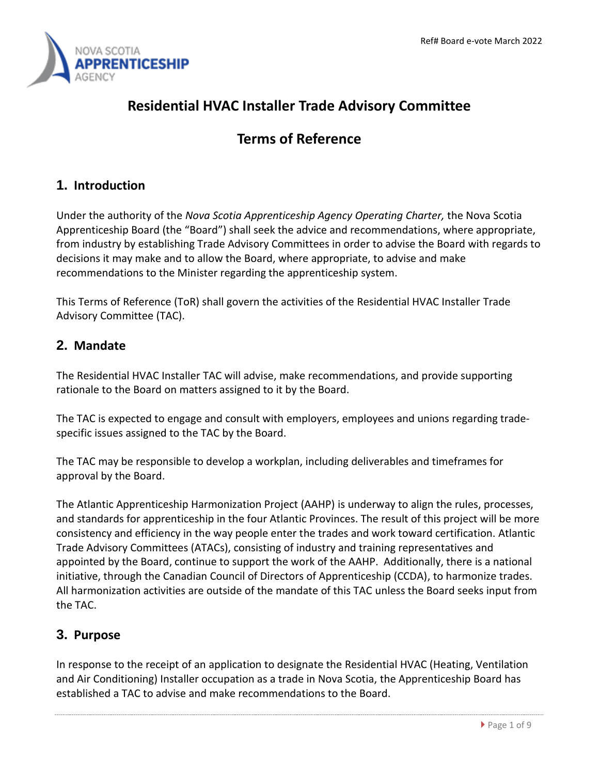

# **Residential HVAC Installer Trade Advisory Committee**

## **Terms of Reference**

## **1. Introduction**

Under the authority of the *Nova Scotia Apprenticeship Agency Operating Charter,* the Nova Scotia Apprenticeship Board (the "Board") shall seek the advice and recommendations, where appropriate, from industry by establishing Trade Advisory Committees in order to advise the Board with regards to decisions it may make and to allow the Board, where appropriate, to advise and make recommendations to the Minister regarding the apprenticeship system.

This Terms of Reference (ToR) shall govern the activities of the Residential HVAC Installer Trade Advisory Committee (TAC).

### **2. Mandate**

The Residential HVAC Installer TAC will advise, make recommendations, and provide supporting rationale to the Board on matters assigned to it by the Board.

The TAC is expected to engage and consult with employers, employees and unions regarding tradespecific issues assigned to the TAC by the Board.

The TAC may be responsible to develop a workplan, including deliverables and timeframes for approval by the Board.

The Atlantic Apprenticeship Harmonization Project (AAHP) is underway to align the rules, processes, and standards for apprenticeship in the four Atlantic Provinces. The result of this project will be more consistency and efficiency in the way people enter the trades and work toward certification. Atlantic Trade Advisory Committees (ATACs), consisting of industry and training representatives and appointed by the Board, continue to support the work of the AAHP. Additionally, there is a national initiative, through the Canadian Council of Directors of Apprenticeship (CCDA), to harmonize trades. All harmonization activities are outside of the mandate of this TAC unless the Board seeks input from the TAC.

## **3. Purpose**

In response to the receipt of an application to designate the Residential HVAC (Heating, Ventilation and Air Conditioning) Installer occupation as a trade in Nova Scotia, the Apprenticeship Board has established a TAC to advise and make recommendations to the Board.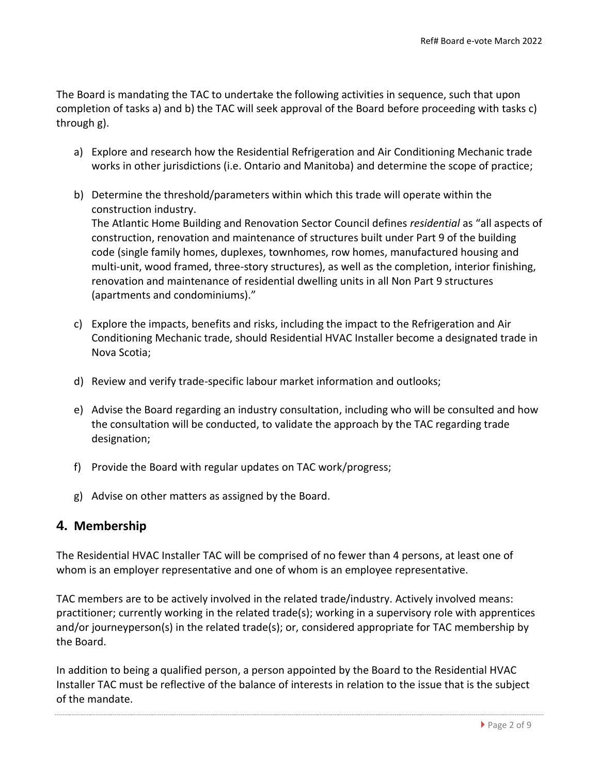The Board is mandating the TAC to undertake the following activities in sequence, such that upon completion of tasks a) and b) the TAC will seek approval of the Board before proceeding with tasks c) through g).

- a) Explore and research how the Residential Refrigeration and Air Conditioning Mechanic trade works in other jurisdictions (i.e. Ontario and Manitoba) and determine the scope of practice;
- b) Determine the threshold/parameters within which this trade will operate within the construction industry. The Atlantic Home Building and Renovation Sector Council defines *residential* as "all aspects of construction, renovation and maintenance of structures built under Part 9 of the building code (single family homes, duplexes, townhomes, row homes, manufactured housing and multi-unit, wood framed, three-story structures), as well as the completion, interior finishing, renovation and maintenance of residential dwelling units in all Non Part 9 structures (apartments and condominiums)."
- c) Explore the impacts, benefits and risks, including the impact to the Refrigeration and Air Conditioning Mechanic trade, should Residential HVAC Installer become a designated trade in Nova Scotia;
- d) Review and verify trade-specific labour market information and outlooks;
- e) Advise the Board regarding an industry consultation, including who will be consulted and how the consultation will be conducted, to validate the approach by the TAC regarding trade designation;
- f) Provide the Board with regular updates on TAC work/progress;
- g) Advise on other matters as assigned by the Board.

#### **4. Membership**

The Residential HVAC Installer TAC will be comprised of no fewer than 4 persons, at least one of whom is an employer representative and one of whom is an employee representative.

TAC members are to be actively involved in the related trade/industry. Actively involved means: practitioner; currently working in the related trade(s); working in a supervisory role with apprentices and/or journeyperson(s) in the related trade(s); or, considered appropriate for TAC membership by the Board.

In addition to being a qualified person, a person appointed by the Board to the Residential HVAC Installer TAC must be reflective of the balance of interests in relation to the issue that is the subject of the mandate.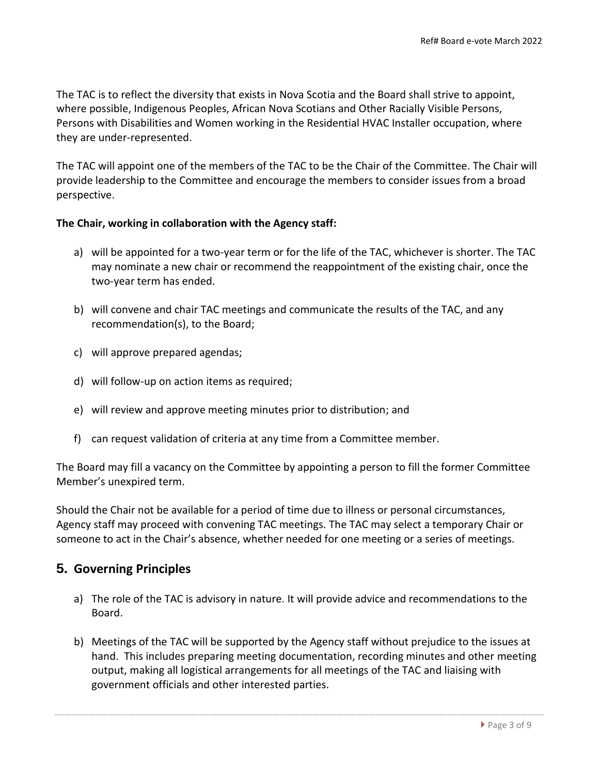The TAC is to reflect the diversity that exists in Nova Scotia and the Board shall strive to appoint, where possible, Indigenous Peoples, African Nova Scotians and Other Racially Visible Persons, Persons with Disabilities and Women working in the Residential HVAC Installer occupation, where they are under-represented.

The TAC will appoint one of the members of the TAC to be the Chair of the Committee. The Chair will provide leadership to the Committee and encourage the members to consider issues from a broad perspective.

#### **The Chair, working in collaboration with the Agency staff:**

- a) will be appointed for a two-year term or for the life of the TAC, whichever is shorter. The TAC may nominate a new chair or recommend the reappointment of the existing chair, once the two-year term has ended.
- b) will convene and chair TAC meetings and communicate the results of the TAC, and any recommendation(s), to the Board;
- c) will approve prepared agendas;
- d) will follow-up on action items as required;
- e) will review and approve meeting minutes prior to distribution; and
- f) can request validation of criteria at any time from a Committee member.

The Board may fill a vacancy on the Committee by appointing a person to fill the former Committee Member's unexpired term.

Should the Chair not be available for a period of time due to illness or personal circumstances, Agency staff may proceed with convening TAC meetings. The TAC may select a temporary Chair or someone to act in the Chair's absence, whether needed for one meeting or a series of meetings.

#### **5. Governing Principles**

- a) The role of the TAC is advisory in nature. It will provide advice and recommendations to the Board.
- b) Meetings of the TAC will be supported by the Agency staff without prejudice to the issues at hand. This includes preparing meeting documentation, recording minutes and other meeting output, making all logistical arrangements for all meetings of the TAC and liaising with government officials and other interested parties.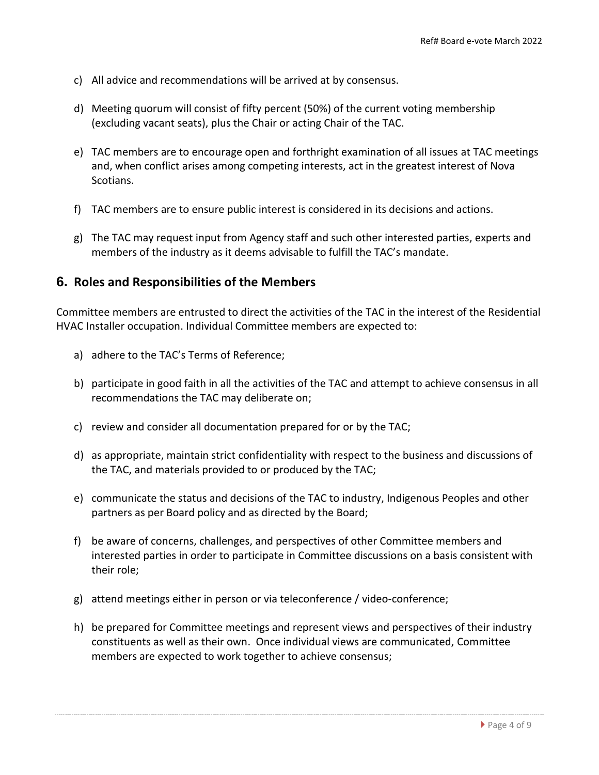- c) All advice and recommendations will be arrived at by consensus.
- d) Meeting quorum will consist of fifty percent (50%) of the current voting membership (excluding vacant seats), plus the Chair or acting Chair of the TAC.
- e) TAC members are to encourage open and forthright examination of all issues at TAC meetings and, when conflict arises among competing interests, act in the greatest interest of Nova Scotians.
- f) TAC members are to ensure public interest is considered in its decisions and actions.
- g) The TAC may request input from Agency staff and such other interested parties, experts and members of the industry as it deems advisable to fulfill the TAC's mandate.

#### **6. Roles and Responsibilities of the Members**

Committee members are entrusted to direct the activities of the TAC in the interest of the Residential HVAC Installer occupation. Individual Committee members are expected to:

- a) adhere to the TAC's Terms of Reference;
- b) participate in good faith in all the activities of the TAC and attempt to achieve consensus in all recommendations the TAC may deliberate on;
- c) review and consider all documentation prepared for or by the TAC;
- d) as appropriate, maintain strict confidentiality with respect to the business and discussions of the TAC, and materials provided to or produced by the TAC;
- e) communicate the status and decisions of the TAC to industry, Indigenous Peoples and other partners as per Board policy and as directed by the Board;
- f) be aware of concerns, challenges, and perspectives of other Committee members and interested parties in order to participate in Committee discussions on a basis consistent with their role;
- g) attend meetings either in person or via teleconference / video-conference;
- h) be prepared for Committee meetings and represent views and perspectives of their industry constituents as well as their own. Once individual views are communicated, Committee members are expected to work together to achieve consensus;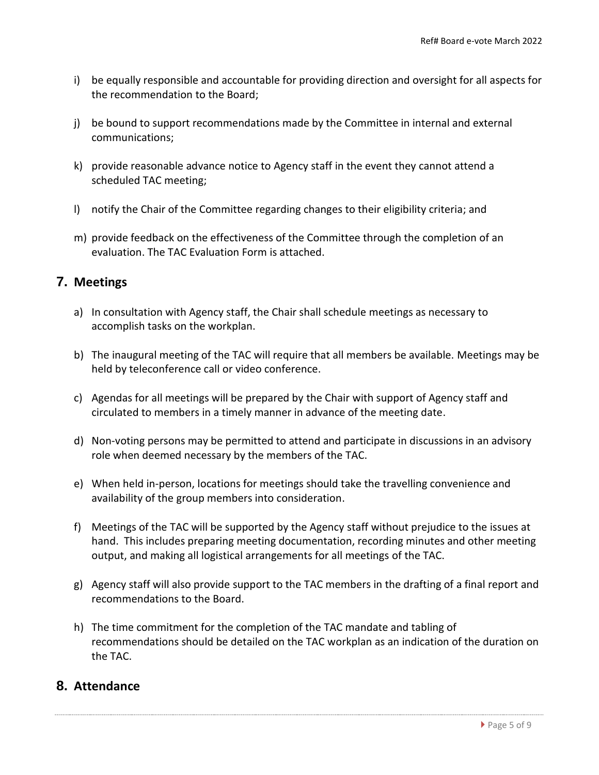- i) be equally responsible and accountable for providing direction and oversight for all aspects for the recommendation to the Board;
- j) be bound to support recommendations made by the Committee in internal and external communications;
- k) provide reasonable advance notice to Agency staff in the event they cannot attend a scheduled TAC meeting;
- l) notify the Chair of the Committee regarding changes to their eligibility criteria; and
- m) provide feedback on the effectiveness of the Committee through the completion of an evaluation. The TAC Evaluation Form is attached.

#### **7. Meetings**

- a) In consultation with Agency staff, the Chair shall schedule meetings as necessary to accomplish tasks on the workplan.
- b) The inaugural meeting of the TAC will require that all members be available. Meetings may be held by teleconference call or video conference.
- c) Agendas for all meetings will be prepared by the Chair with support of Agency staff and circulated to members in a timely manner in advance of the meeting date.
- d) Non-voting persons may be permitted to attend and participate in discussions in an advisory role when deemed necessary by the members of the TAC.
- e) When held in-person, locations for meetings should take the travelling convenience and availability of the group members into consideration.
- f) Meetings of the TAC will be supported by the Agency staff without prejudice to the issues at hand. This includes preparing meeting documentation, recording minutes and other meeting output, and making all logistical arrangements for all meetings of the TAC.
- g) Agency staff will also provide support to the TAC members in the drafting of a final report and recommendations to the Board.
- h) The time commitment for the completion of the TAC mandate and tabling of recommendations should be detailed on the TAC workplan as an indication of the duration on the TAC.

#### **8. Attendance**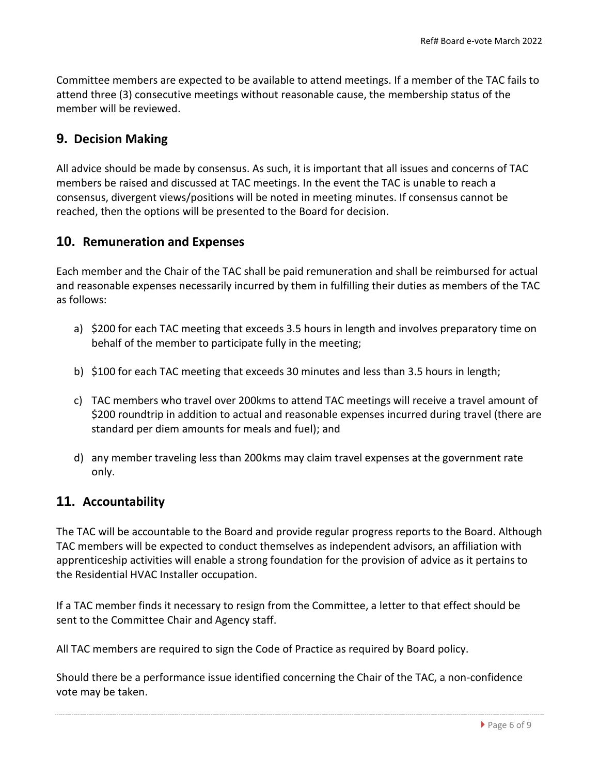Committee members are expected to be available to attend meetings. If a member of the TAC fails to attend three (3) consecutive meetings without reasonable cause, the membership status of the member will be reviewed.

#### **9. Decision Making**

All advice should be made by consensus. As such, it is important that all issues and concerns of TAC members be raised and discussed at TAC meetings. In the event the TAC is unable to reach a consensus, divergent views/positions will be noted in meeting minutes. If consensus cannot be reached, then the options will be presented to the Board for decision.

#### **10. Remuneration and Expenses**

Each member and the Chair of the TAC shall be paid remuneration and shall be reimbursed for actual and reasonable expenses necessarily incurred by them in fulfilling their duties as members of the TAC as follows:

- a) \$200 for each TAC meeting that exceeds 3.5 hours in length and involves preparatory time on behalf of the member to participate fully in the meeting;
- b) \$100 for each TAC meeting that exceeds 30 minutes and less than 3.5 hours in length;
- c) TAC members who travel over 200kms to attend TAC meetings will receive a travel amount of \$200 roundtrip in addition to actual and reasonable expenses incurred during travel (there are standard per diem amounts for meals and fuel); and
- d) any member traveling less than 200kms may claim travel expenses at the government rate only.

#### **11. Accountability**

The TAC will be accountable to the Board and provide regular progress reports to the Board. Although TAC members will be expected to conduct themselves as independent advisors, an affiliation with apprenticeship activities will enable a strong foundation for the provision of advice as it pertains to the Residential HVAC Installer occupation.

If a TAC member finds it necessary to resign from the Committee, a letter to that effect should be sent to the Committee Chair and Agency staff.

All TAC members are required to sign the Code of Practice as required by Board policy.

Should there be a performance issue identified concerning the Chair of the TAC, a non-confidence vote may be taken.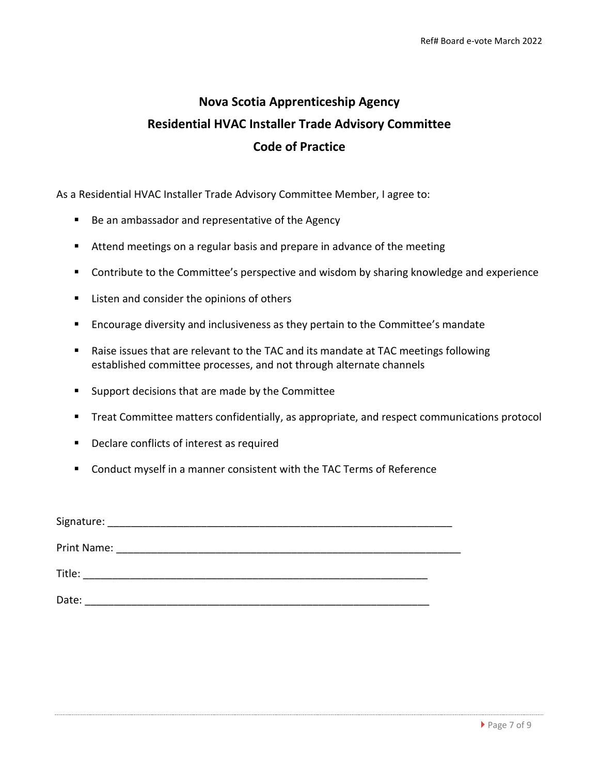# **Nova Scotia Apprenticeship Agency Residential HVAC Installer Trade Advisory Committee Code of Practice**

As a Residential HVAC Installer Trade Advisory Committee Member, I agree to:

- Be an ambassador and representative of the Agency
- Attend meetings on a regular basis and prepare in advance of the meeting
- Contribute to the Committee's perspective and wisdom by sharing knowledge and experience
- Listen and consider the opinions of others
- Encourage diversity and inclusiveness as they pertain to the Committee's mandate
- Raise issues that are relevant to the TAC and its mandate at TAC meetings following established committee processes, and not through alternate channels
- Support decisions that are made by the Committee
- Treat Committee matters confidentially, as appropriate, and respect communications protocol
- Declare conflicts of interest as required
- Conduct myself in a manner consistent with the TAC Terms of Reference

| Signature:  |  |
|-------------|--|
| Print Name: |  |
| Title:      |  |
| Date:       |  |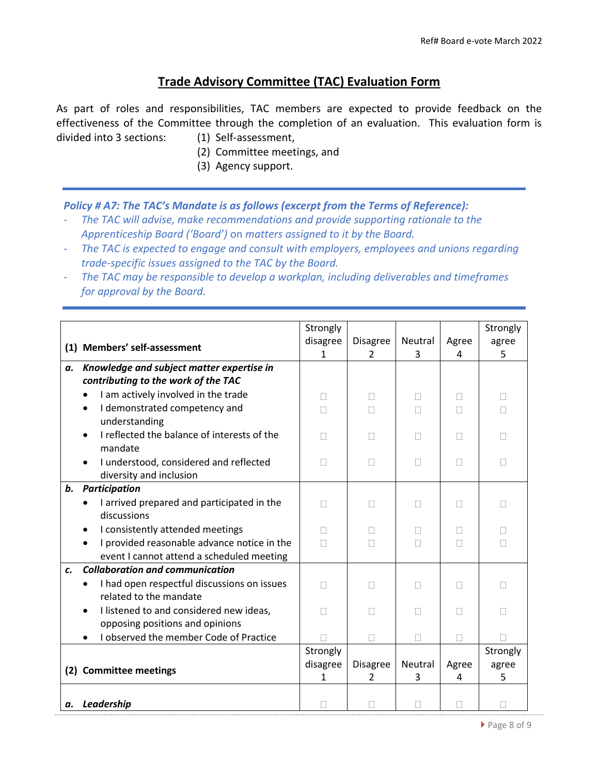#### **Trade Advisory Committee (TAC) Evaluation Form**

As part of roles and responsibilities, TAC members are expected to provide feedback on the effectiveness of the Committee through the completion of an evaluation. This evaluation form is divided into 3 sections: (1) Self-assessment,

- (2) Committee meetings, and
- (3) Agency support.

#### *Policy # A7: The TAC's Mandate is as follows (excerpt from the Terms of Reference):*

- *The TAC will advise, make recommendations and provide supporting rationale to the Apprenticeship Board ('Board')* on *matters assigned to it by the Board.*
- *- The TAC is expected to engage and consult with employers, employees and unions regarding trade-specific issues assigned to the TAC by the Board.*
- *- The TAC may be responsible to develop a workplan, including deliverables and timeframes for approval by the Board.*

|    |                                                                   | Strongly |                 |         |       | Strongly |
|----|-------------------------------------------------------------------|----------|-----------------|---------|-------|----------|
|    | (1) Members' self-assessment                                      | disagree | Disagree        | Neutral | Agree | agree    |
|    |                                                                   | 1        | $\mathcal{L}$   | 3       | 4     | 5        |
| а. | Knowledge and subject matter expertise in                         |          |                 |         |       |          |
|    | contributing to the work of the TAC                               |          |                 |         |       |          |
|    | I am actively involved in the trade                               | ш        | $\Box$          | $\Box$  | Ш     | Н        |
|    | I demonstrated competency and<br>understanding                    | п        | П               |         | П     | П        |
|    | I reflected the balance of interests of the<br>mandate            |          | $\mathbb{R}^n$  | П       | П     | Н        |
|    | I understood, considered and reflected<br>diversity and inclusion | ш        | $\mathbb{R}^n$  | $\Box$  | П     | п        |
| b. | <b>Participation</b>                                              |          |                 |         |       |          |
|    | I arrived prepared and participated in the                        |          | П               |         | П     | П        |
|    | discussions                                                       |          |                 |         |       |          |
|    | I consistently attended meetings                                  |          | П               |         | п     | п        |
|    | I provided reasonable advance notice in the                       |          | П               |         |       | П        |
|    | event I cannot attend a scheduled meeting                         |          |                 |         |       |          |
| c. | <b>Collaboration and communication</b>                            |          |                 |         |       |          |
|    | I had open respectful discussions on issues                       | П        | П               | П       | П     | П        |
|    | related to the mandate                                            |          |                 |         |       |          |
|    | I listened to and considered new ideas,                           |          | П               | П       | П     | П        |
|    | opposing positions and opinions                                   |          |                 |         |       |          |
|    | I observed the member Code of Practice                            |          | П               | П       | П     | П        |
|    |                                                                   | Strongly |                 |         |       | Strongly |
|    | (2) Committee meetings                                            | disagree | <b>Disagree</b> | Neutral | Agree | agree    |
|    |                                                                   | 1        | $\mathcal{P}$   | 3       | 4     | 5        |
|    | a. Leadership                                                     |          |                 |         |       |          |